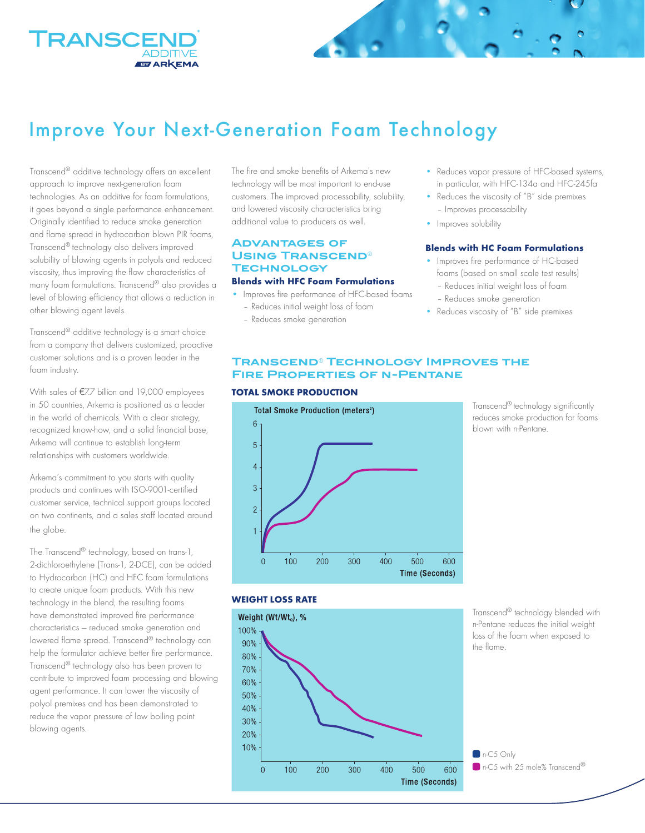

# Improve Your Next-Generation Foam Technology

Transcend® additive technology offers an excellent approach to improve next-generation foam technologies. As an additive for foam formulations, it goes beyond a single performance enhancement. Originally identified to reduce smoke generation and flame spread in hydrocarbon blown PIR foams, Transcend® technology also delivers improved solubility of blowing agents in polyols and reduced viscosity, thus improving the flow characteristics of many foam formulations. Transcend® also provides a level of blowing efficiency that allows a reduction in other blowing agent levels.

Transcend® additive technology is a smart choice from a company that delivers customized, proactive customer solutions and is a proven leader in the foam industry.

With sales of €7.7 billion and 19,000 employees in 50 countries, Arkema is positioned as a leader in the world of chemicals. With a clear strategy, recognized know-how, and a solid financial base, Arkema will continue to establish long-term relationships with customers worldwide.

Arkema's commitment to you starts with quality products and continues with ISO-9001-certified customer service, technical support groups located on two continents, and a sales staff located around the globe.

The Transcend® technology, based on trans-1, 2-dichloroethylene (Trans-1, 2-DCE), can be added to Hydrocarbon (HC) and HFC foam formulations to create unique foam products. With this new technology in the blend, the resulting foams have demonstrated improved fire performance characteristics — reduced smoke generation and lowered flame spread. Transcend® technology can help the formulator achieve better fire performance. Transcend® technology also has been proven to contribute to improved foam processing and blowing agent performance. It can lower the viscosity of polyol premixes and has been demonstrated to reduce the vapor pressure of low boiling point blowing agents.

The fire and smoke benefits of Arkema's new technology will be most important to end-use customers. The improved processability, solubility, and lowered viscosity characteristics bring additional value to producers as well.

# **Advantages of Using Transcend**® **Technology**

#### **Blends with HFC Foam Formulations**

- Improves fire performance of HFC-based foams – Reduces initial weight loss of foam
	- Reduces smoke generation
- Reduces vapor pressure of HFC-based systems, in particular, with HFC-134a and HFC-245fa
- Reduces the viscosity of "B" side premixes – Improves processability
- Improves solubility

#### **Blends with HC Foam Formulations**

- Improves fire performance of HC-based foams (based on small scale test results) – Reduces initial weight loss of foam
- Reduces smoke generation
- Reduces viscosity of "B" side premixes

## **Transcend**® **Technology Improves the Fire Properties of n-Pentane**

#### **TOTAL SMOKE PRODUCTION**



Transcend® technology significantly reduces smoke production for foams blown with n-Pentane.

### **WEIGHT LOSS RATE**



Transcend® technology blended with n-Pentane reduces the initial weight loss of the foam when exposed to the flame.

 $n-C5$  Only n-C5 with 25 mole% Transcend<sup>®</sup>